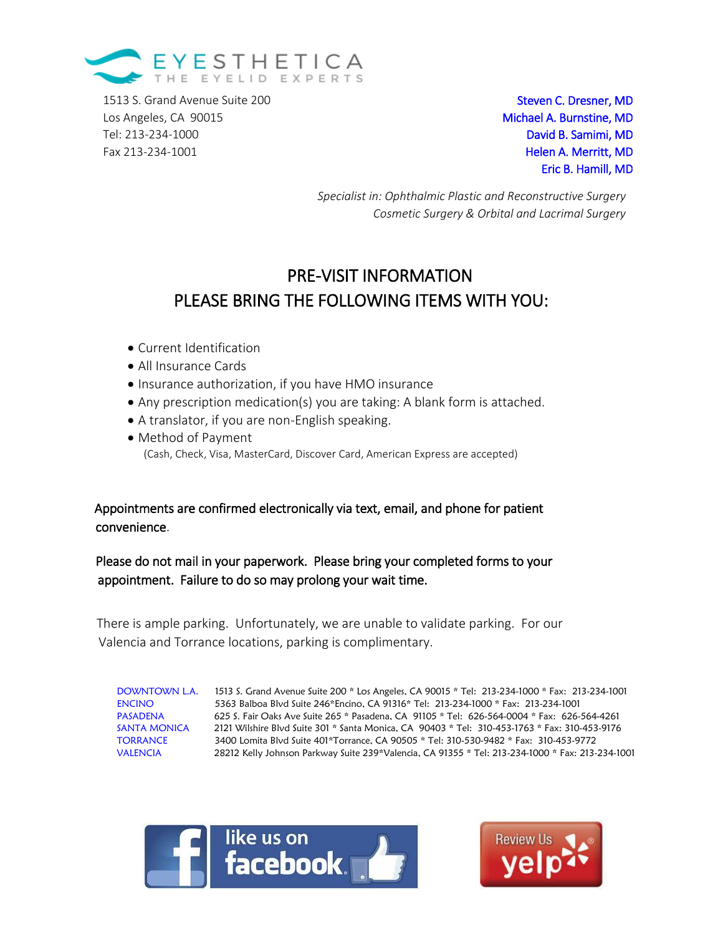

1513 S. Grand Avenue Suite 200 Steven C. Dresner, MD Los Angeles, CA 90015 **Michael A. Burnstine, MD** Tel: 213-234-1000 David B. Samimi, MD D Fax 213-234-1001 **Helen A. Merritt, MD** 

Eric B. Hamill, MD

*Specialist in: Ophthalmic Plastic and Reconstructive Surgery Cosmetic Surgery & Orbital and Lacrimal Surgery*

# PRE-VISIT INFORMATION PLEASE BRING THE FOLLOWING ITEMS WITH YOU:

- Current Identification
- All Insurance Cards
- Insurance authorization, if you have HMO insurance
- Any prescription medication(s) you are taking: A blank form is attached.
- A translator, if you are non-English speaking.
- Method of Payment (Cash, Check, Visa, MasterCard, Discover Card, American Express are accepted)

## Appointments are confirmed electronically via text, email, and phone for patient convenience.

## Please do not mail in your paperwork. Please bring your completed forms to your appointment. Failure to do so may prolong your wait time.

 There is ample parking. Unfortunately, we are unable to validate parking. For our Valencia and Torrance locations, parking is complimentary.

DOWNTOWN L.A. 1513 S. Grand Avenue Suite 200 \* Los Angeles, CA 90015 \* Tel: 213-234-1000 \* Fax: 213-234-1001 ENCINO 5363 Balboa Blvd Suite 246\*Encino, CA 91316\* Tel: 213-234-1000 \* Fax: 213-234-1001 PASADENA 625 S. Fair Oaks Ave Suite 265 \* Pasadena, CA 91105 \* Tel: 626-564-0004 \* Fax: 626-564-4261<br>
SANTA MONICA 2121 Wilshire Blvd Suite 301 \* Santa Monica, CA 90403 \* Tel: 310-453-1763 \* Fax: 310-453-9176<br>
TORRANCE 340 2121 Wilshire Blvd Suite 301 \* Santa Monica, CA 90403 \* Tel: 310-453-1763 \* Fax: 310-453-9176 TORRANCE 3400 Lomita Blvd Suite 401\*Torrance, CA 90505 \* Tel: 310-530-9482 \* Fax: 310-453-9772 VALENCIA 28212 Kelly Johnson Parkway Suite 239\*Valencia, CA 91355 \* Tel: 213-234-1000 \* Fax: 213-234-1001



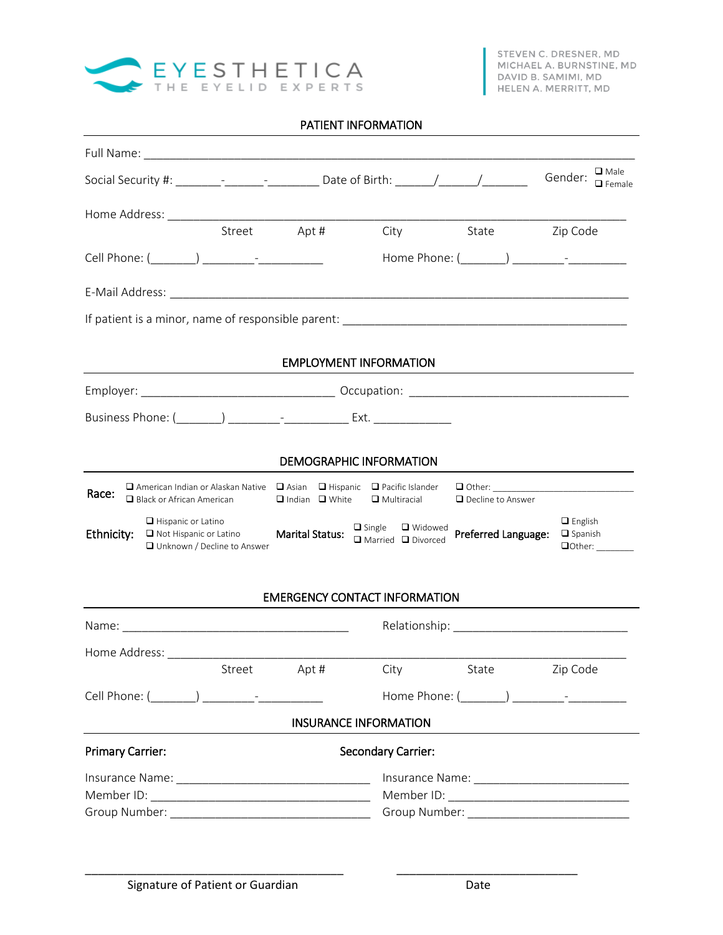

## PATIENT INFORMATION

| Social Security #: ________-________________________ Date of Birth: _______/_______/________________                                  |                                |                                                    |                                     | $\square$ Male<br>Gender:<br>$\Box$ Female                               |
|---------------------------------------------------------------------------------------------------------------------------------------|--------------------------------|----------------------------------------------------|-------------------------------------|--------------------------------------------------------------------------|
|                                                                                                                                       |                                |                                                    |                                     |                                                                          |
| Street Apt #                                                                                                                          |                                | City                                               | State Zip Code                      |                                                                          |
|                                                                                                                                       |                                |                                                    | Home Phone: (________) ___________- |                                                                          |
|                                                                                                                                       |                                |                                                    |                                     |                                                                          |
|                                                                                                                                       |                                |                                                    |                                     |                                                                          |
|                                                                                                                                       | <b>EMPLOYMENT INFORMATION</b>  |                                                    |                                     |                                                                          |
|                                                                                                                                       |                                |                                                    |                                     |                                                                          |
|                                                                                                                                       |                                |                                                    |                                     |                                                                          |
|                                                                                                                                       | <b>DEMOGRAPHIC INFORMATION</b> |                                                    |                                     |                                                                          |
| $\Box$ American Indian or Alaskan Native $\Box$ Asian $\Box$ Hispanic $\Box$ Pacific Islander<br>Race:<br>□ Black or African American | $\Box$ Indian $\Box$ White     | $\Box$ Multiracial                                 | $\Box$ Decline to Answer            |                                                                          |
| $\Box$ Hispanic or Latino<br>Ethnicity:<br>$\Box$ Not Hispanic or Latino<br>□ Unknown / Decline to Answer                             | <b>Marital Status:</b>         | $\Box$ Single<br>□ Widowed<br>□ Married □ Divorced | Preferred Language:                 | $\Box$ English<br>$\Box$ Spanish<br>$\Box$ Other: $\_\_\_\_\_\_\_\_\_\_$ |
|                                                                                                                                       |                                | <b>EMERGENCY CONTACT INFORMATION</b>               |                                     |                                                                          |
|                                                                                                                                       |                                |                                                    | Relationship: Nelationship:         |                                                                          |
|                                                                                                                                       |                                |                                                    |                                     |                                                                          |
| Street Apt # City State Zip Code                                                                                                      |                                |                                                    |                                     |                                                                          |
|                                                                                                                                       |                                |                                                    |                                     |                                                                          |
|                                                                                                                                       | <b>INSURANCE INFORMATION</b>   |                                                    |                                     |                                                                          |
| <b>Primary Carrier:</b>                                                                                                               |                                | <b>Secondary Carrier:</b>                          |                                     |                                                                          |
|                                                                                                                                       |                                |                                                    |                                     |                                                                          |
|                                                                                                                                       |                                |                                                    |                                     |                                                                          |
|                                                                                                                                       |                                |                                                    |                                     |                                                                          |

\_\_\_\_\_\_\_\_\_\_\_\_\_\_\_\_\_\_\_\_\_\_\_\_\_\_\_\_\_\_\_\_\_\_\_\_\_\_\_\_ \_\_\_\_\_\_\_\_\_\_\_\_\_\_\_\_\_\_\_\_\_\_\_\_\_\_\_\_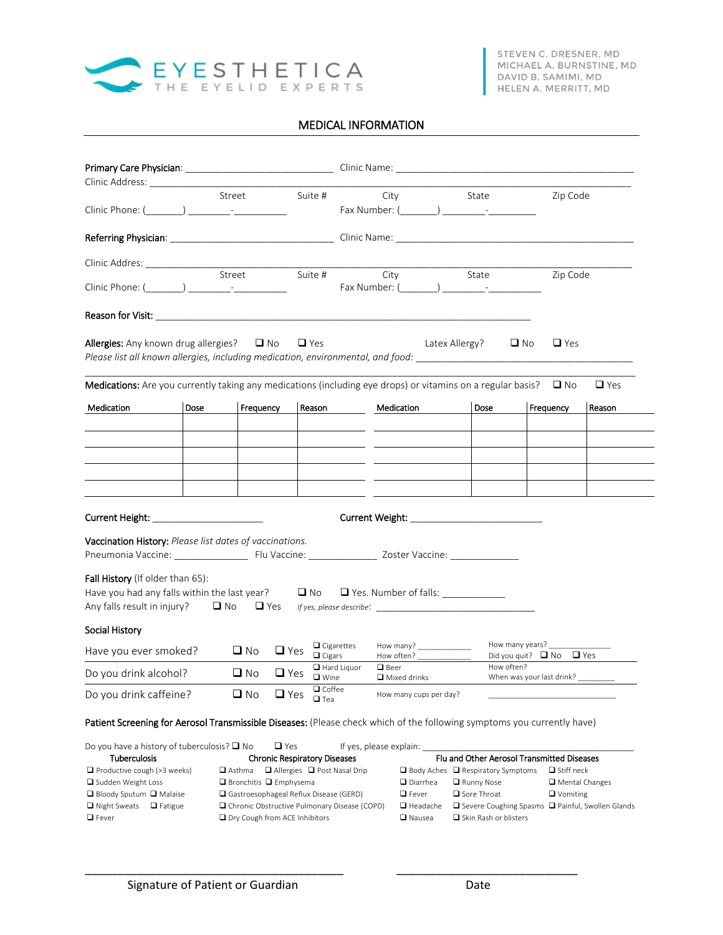

## MEDICAL INFORMATION

|                                                                                                                                                                                |      | Street                                      | Suite #                                        | City                                                     |                                                         | State                                                       |                                                       | Zip Code                                   |
|--------------------------------------------------------------------------------------------------------------------------------------------------------------------------------|------|---------------------------------------------|------------------------------------------------|----------------------------------------------------------|---------------------------------------------------------|-------------------------------------------------------------|-------------------------------------------------------|--------------------------------------------|
|                                                                                                                                                                                |      |                                             |                                                |                                                          |                                                         |                                                             |                                                       |                                            |
|                                                                                                                                                                                |      |                                             |                                                |                                                          |                                                         |                                                             |                                                       |                                            |
| Clinic Addres: ______________                                                                                                                                                  |      | Street                                      |                                                | Suite #<br>City                                          |                                                         | <b>State</b>                                                |                                                       | Zip Code                                   |
|                                                                                                                                                                                |      |                                             |                                                | Fax Number: ( ) Fax Number: (                            |                                                         |                                                             |                                                       |                                            |
|                                                                                                                                                                                |      |                                             |                                                |                                                          |                                                         |                                                             |                                                       |                                            |
| <b>Allergies:</b> Any known drug allergies? $\Box$ No<br>Please list all known allergies, including medication, environmental, and food: ___________________                   |      |                                             | $\Box$ Yes                                     |                                                          | Latex Allergy?                                          |                                                             | $\Box$ Yes<br>$\Box$ No                               |                                            |
| Medications: Are you currently taking any medications (including eye drops) or vitamins on a regular basis? $\square$ No                                                       |      |                                             |                                                |                                                          |                                                         |                                                             |                                                       | $\Box$ Yes                                 |
| Medication                                                                                                                                                                     | Dose | Frequency                                   | Reason                                         | Medication                                               |                                                         | Dose                                                        | Frequency                                             | Reason                                     |
|                                                                                                                                                                                |      |                                             |                                                |                                                          |                                                         |                                                             |                                                       |                                            |
|                                                                                                                                                                                |      |                                             |                                                |                                                          |                                                         |                                                             |                                                       |                                            |
|                                                                                                                                                                                |      |                                             |                                                |                                                          |                                                         |                                                             |                                                       |                                            |
|                                                                                                                                                                                |      |                                             |                                                |                                                          |                                                         |                                                             |                                                       |                                            |
|                                                                                                                                                                                |      |                                             |                                                |                                                          |                                                         |                                                             |                                                       |                                            |
| Current Height: _________________________                                                                                                                                      |      |                                             |                                                |                                                          |                                                         |                                                             |                                                       |                                            |
| <b>Vaccination History:</b> Please list dates of vaccinations.                                                                                                                 |      |                                             |                                                |                                                          |                                                         |                                                             |                                                       |                                            |
| Fall History (If older than 65):<br>Have you had any falls within the last year?<br><br>$\Box$ No $\Box$ Yes. Number of falls: ________________<br>Any falls result in injury? |      |                                             |                                                |                                                          |                                                         |                                                             |                                                       |                                            |
| Social History                                                                                                                                                                 |      |                                             |                                                |                                                          |                                                         |                                                             |                                                       |                                            |
| Have you ever smoked?                                                                                                                                                          |      | $\square$ No                                | $\Box$ Yes<br>$\Box$ Cigars                    | $\Box$ Cigarettes                                        | How many? _______________<br>How often? _______________ |                                                             | How many years?<br>Did you quit? $\Box$ No $\Box$ Yes |                                            |
| Do you drink alcohol?                                                                                                                                                          |      | $\Box$ No                                   | $\Box$ Yes<br><b>□</b> Wine                    | $\Box$ Hard Liquor<br>$\Box$ Beer<br>$\Box$ Mixed drinks |                                                         | How often?                                                  |                                                       | When was your last drink? _________        |
| Do you drink caffeine?                                                                                                                                                         |      | $\square$ No                                | $\Box$ Coffee<br>$\sqcup$ Yes<br>$\square$ Tea |                                                          | How many cups per day?                                  |                                                             |                                                       |                                            |
| Patient Screening for Aerosol Transmissible Diseases: (Please check which of the following symptoms you currently have)                                                        |      |                                             |                                                |                                                          |                                                         |                                                             |                                                       |                                            |
| Do you have a history of tuberculosis? $\square$ No                                                                                                                            |      |                                             | $\Box$ Yes                                     | If yes, please explain:                                  |                                                         |                                                             |                                                       |                                            |
| <b>Tuberculosis</b>                                                                                                                                                            |      |                                             | <b>Chronic Respiratory Diseases</b>            |                                                          |                                                         | Flu and Other Aerosol Transmitted Diseases                  |                                                       |                                            |
| □ Productive cough (>3 weeks)<br>□ Sudden Weight Loss                                                                                                                          |      | <b>□</b> Asthma<br>□ Bronchitis □ Emphysema | □ Allergies □ Post Nasal Drip                  |                                                          | □ Diarrhea                                              | $\Box$ Body Aches $\Box$ Respiratory Symptoms<br>Runny Nose |                                                       | $\Box$ Stiff neck<br>$\Box$ Mental Changes |
| □ Bloody Sputum □ Malaise                                                                                                                                                      |      | Gastroesophageal Reflux Disease (GERD)      |                                                |                                                          | $\Box$ Fever                                            | □ Sore Throat                                               |                                                       | $\Box$ Vomiting                            |

\_\_\_\_\_\_\_\_\_\_\_\_\_\_\_\_\_\_\_\_\_\_\_\_\_\_\_\_\_\_\_\_\_\_\_\_\_\_\_\_ \_\_\_\_\_\_\_\_\_\_\_\_\_\_\_\_\_\_\_\_\_\_\_\_\_\_\_\_

**□** Fever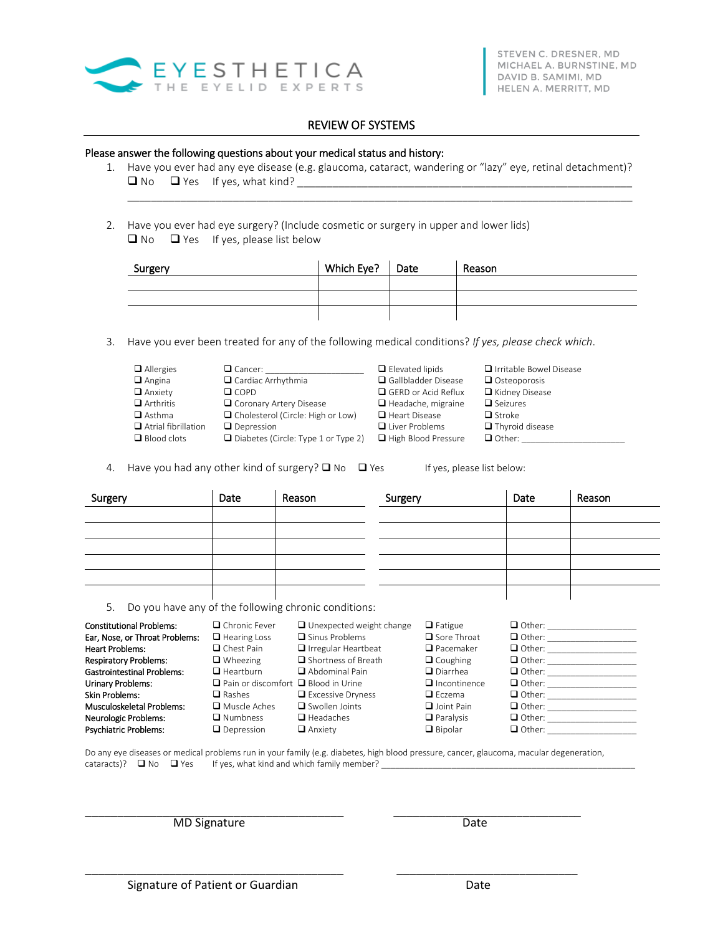

## REVIEW OF SYSTEMS

## Please answer the following questions about your medical status and history:

1. Have you ever had any eye disease (e.g. glaucoma, cataract, wandering or "lazy" eye, retinal detachment)? No Yes If yes, what kind? \_\_\_\_\_\_\_\_\_\_\_\_\_\_\_\_\_\_\_\_\_\_\_\_\_\_\_\_\_\_\_\_\_\_\_\_\_\_\_\_\_\_\_\_\_\_\_\_\_\_\_\_\_\_\_\_\_

 $\_$  . The contribution of the contribution of the contribution of the contribution of the contribution of the contribution of the contribution of the contribution of the contribution of the contribution of the contributio

2. Have you ever had eye surgery? (Include cosmetic or surgery in upper and lower lids)  $\Box$  No  $\Box$  Yes If yes, please list below

| Surgery | Which Eye? $\vert$ Date | Reason |
|---------|-------------------------|--------|
|         |                         |        |
|         |                         |        |
|         |                         |        |

3. Have you ever been treated for any of the following medical conditions? *If yes, please check which*.

| $\Box$ Allergies           | $\Box$ Cancer:                             | $\Box$ Elevated lipids     | □ Irritable Bowel Disease |
|----------------------------|--------------------------------------------|----------------------------|---------------------------|
| $\Box$ Angina              | $\Box$ Cardiac Arrhythmia                  | Gallbladder Disease        | $\Box$ Osteoporosis       |
| $\Box$ Anxiety             | $\Box$ COPD                                | $\Box$ GERD or Acid Reflux | Kidney Disease            |
| $\Box$ Arthritis           | □ Coronary Artery Disease                  | $\Box$ Headache, migraine  | $\Box$ Seizures           |
| $\Box$ Asthma              | $\Box$ Cholesterol (Circle: High or Low)   | $\Box$ Heart Disease       | $\Box$ Stroke             |
| $\Box$ Atrial fibrillation | $\Box$ Depression                          | $\Box$ Liver Problems      | $\Box$ Thyroid disease    |
| $\Box$ Blood clots         | $\Box$ Diabetes (Circle: Type 1 or Type 2) | $\Box$ High Blood Pressure | $\Box$ Other:             |

4. Have you had any other kind of surgery?  $\Box$  No  $\Box$  Yes If yes, please list below:

| Surgery | Date | Reason | Surgery | Date | Reason |
|---------|------|--------|---------|------|--------|
|         |      |        |         |      |        |
|         |      |        |         |      |        |
|         |      |        |         |      |        |
|         |      |        |         |      |        |
|         |      |        |         |      |        |
|         |      |        |         |      |        |

5. Do you have any of the following chronic conditions:

| <b>Constitutional Problems:</b><br>Ear, Nose, or Throat Problems:<br><b>Heart Problems:</b><br><b>Respiratory Problems:</b><br><b>Gastrointestinal Problems:</b><br>Urinary Problems:<br><b>Skin Problems:</b><br><b>Musculoskeletal Problems:</b><br>Neurologic Problems: | $\Box$ Chronic Fever<br>$\Box$ Hearing Loss<br>$\Box$ Chest Pain<br>$\Box$ Wheezing<br>$\Box$ Heartburn<br>$\Box$ Pain or discomfort $\Box$ Blood in Urine<br>$\Box$ Rashes<br>$\Box$ Muscle Aches<br>$\Box$ Numbness | $\Box$ Unexpected weight change<br>$\Box$ Sinus Problems<br>$\Box$ Irregular Heartbeat<br>$\Box$ Shortness of Breath<br>$\Box$ Abdominal Pain<br>$\Box$ Excessive Dryness<br>$\Box$ Swollen Joints<br>$\Box$ Headaches | $\Box$ Fatigue<br>$\Box$ Sore Throat<br>$\Box$ Pacemaker<br>$\Box$ Coughing<br>$\Box$ Diarrhea<br>$\Box$ Incontinence<br>$\Box$ Fczema<br>$\Box$ Joint Pain<br>$\Box$ Paralysis | $\Box$ Other:<br>$\Box$ Other:<br>$\Box$ Other:<br>$\Box$ Other:<br>$\Box$ Other:<br>$\Box$ Other:<br>$\Box$ Other:<br>$\Box$ Other:<br>$\Box$ Other: |
|----------------------------------------------------------------------------------------------------------------------------------------------------------------------------------------------------------------------------------------------------------------------------|-----------------------------------------------------------------------------------------------------------------------------------------------------------------------------------------------------------------------|------------------------------------------------------------------------------------------------------------------------------------------------------------------------------------------------------------------------|---------------------------------------------------------------------------------------------------------------------------------------------------------------------------------|-------------------------------------------------------------------------------------------------------------------------------------------------------|
| <b>Psychiatric Problems:</b>                                                                                                                                                                                                                                               | $\Box$ Depression                                                                                                                                                                                                     | $\Box$ Anxiety                                                                                                                                                                                                         | $\Box$ Bipolar                                                                                                                                                                  | $\Box$ Other:                                                                                                                                         |

Do any eye diseases or medical problems run in your family (e.g. diabetes, high blood pressure, cancer, glaucoma, macular degeneration, cataracts)?  $\Box$  No  $\Box$  Yes If yes, what kind and which family member?  $\_$ 

\_\_\_\_\_\_\_\_\_\_\_\_\_\_\_\_\_\_\_\_\_\_\_\_\_\_\_\_\_\_\_\_\_\_\_\_\_\_\_\_ \_\_\_\_\_\_\_\_\_\_\_\_\_\_\_\_\_\_\_\_\_\_\_\_\_\_\_\_

\_\_\_\_\_\_\_\_\_\_\_\_\_\_\_\_\_\_\_\_\_\_\_\_\_\_\_\_\_\_\_\_\_\_\_\_\_\_\_\_ \_\_\_\_\_\_\_\_\_\_\_\_\_\_\_\_\_\_\_\_\_\_\_\_\_\_\_\_\_ MD Signature Date Date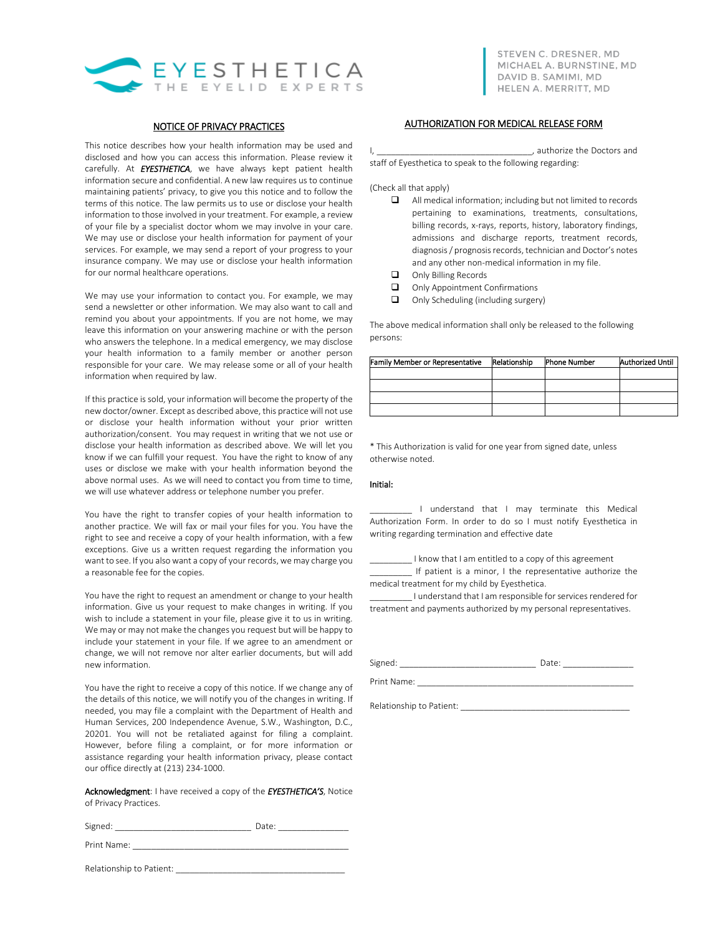

## NOTICE OF PRIVACY PRACTICES

This notice describes how your health information may be used and disclosed and how you can access this information. Please review it carefully. At *EYESTHETICA*, we have always kept patient health information secure and confidential. A new law requires us to continue maintaining patients' privacy, to give you this notice and to follow the terms of this notice. The law permits us to use or disclose your health information to those involved in your treatment. For example, a review of your file by a specialist doctor whom we may involve in your care. We may use or disclose your health information for payment of your services. For example, we may send a report of your progress to your insurance company. We may use or disclose your health information for our normal healthcare operations.

We may use your information to contact you. For example, we may send a newsletter or other information. We may also want to call and remind you about your appointments. If you are not home, we may leave this information on your answering machine or with the person who answers the telephone. In a medical emergency, we may disclose your health information to a family member or another person responsible for your care. We may release some or all of your health information when required by law.

If this practice is sold, your information will become the property of the new doctor/owner. Except as described above, this practice will not use or disclose your health information without your prior written authorization/consent. You may request in writing that we not use or disclose your health information as described above. We will let you know if we can fulfill your request. You have the right to know of any uses or disclose we make with your health information beyond the above normal uses. As we will need to contact you from time to time, we will use whatever address or telephone number you prefer.

You have the right to transfer copies of your health information to another practice. We will fax or mail your files for you. You have the right to see and receive a copy of your health information, with a few exceptions. Give us a written request regarding the information you want to see. If you also want a copy of your records, we may charge you a reasonable fee for the copies.

You have the right to request an amendment or change to your health information. Give us your request to make changes in writing. If you wish to include a statement in your file, please give it to us in writing. We may or may not make the changes you request but will be happy to include your statement in your file. If we agree to an amendment or change, we will not remove nor alter earlier documents, but will add new information.

You have the right to receive a copy of this notice. If we change any of the details of this notice, we will notify you of the changes in writing. If needed, you may file a complaint with the Department of Health and Human Services, 200 Independence Avenue, S.W., Washington, D.C., 20201. You will not be retaliated against for filing a complaint. However, before filing a complaint, or for more information or assistance regarding your health information privacy, please contact our office directly at (213) 234-1000.

Acknowledgment: I have received a copy of the *EYESTHETICA'S*, Notice of Privacy Practices.

| Signed<br>. . |  |  |
|---------------|--|--|
|               |  |  |

Print Name:

Relationship to Patient: \_\_\_\_\_\_\_\_\_\_\_\_\_\_\_\_\_\_\_\_\_\_\_\_\_\_\_\_\_\_\_\_\_\_\_\_

## AUTHORIZATION FOR MEDICAL RELEASE FORM

I, authorize the Doctors and staff of Eyesthetica to speak to the following regarding:

(Check all that apply)

- All medical information; including but not limited to records pertaining to examinations, treatments, consultations, billing records, x-rays, reports, history, laboratory findings, admissions and discharge reports, treatment records, diagnosis / prognosis records, technician and Doctor's notes and any other non-medical information in my file.
- $\Box$  Only Billing Records
- Only Appointment Confirmations
- $\Box$  Only Scheduling (including surgery)

The above medical information shall only be released to the following persons:

| Family Member or Representative | Relationship | <b>Phone Number</b> | <b>Authorized Until</b> |
|---------------------------------|--------------|---------------------|-------------------------|
|                                 |              |                     |                         |
|                                 |              |                     |                         |
|                                 |              |                     |                         |
|                                 |              |                     |                         |

\* This Authorization is valid for one year from signed date, unless otherwise noted.

### Initial:

I understand that I may terminate this Medical Authorization Form. In order to do so I must notify Eyesthetica in writing regarding termination and effective date

\_\_\_\_\_\_\_\_\_ I know that I am entitled to a copy of this agreement \_\_\_\_\_\_\_\_\_ If patient is a minor, I the representative authorize the medical treatment for my child by Eyesthetica.

I understand that I am responsible for services rendered for treatment and payments authorized by my personal representatives.

Signed: \_\_\_\_\_\_\_\_\_\_\_\_\_\_\_\_\_\_\_\_\_\_\_\_\_\_\_\_\_ Date: \_\_\_\_\_\_\_\_\_\_\_\_\_\_\_

Print Name:

Relationship to Patient: \_\_\_\_\_\_\_\_\_\_\_\_\_\_\_\_\_\_\_\_\_\_\_\_\_\_\_\_\_\_\_\_\_\_\_\_